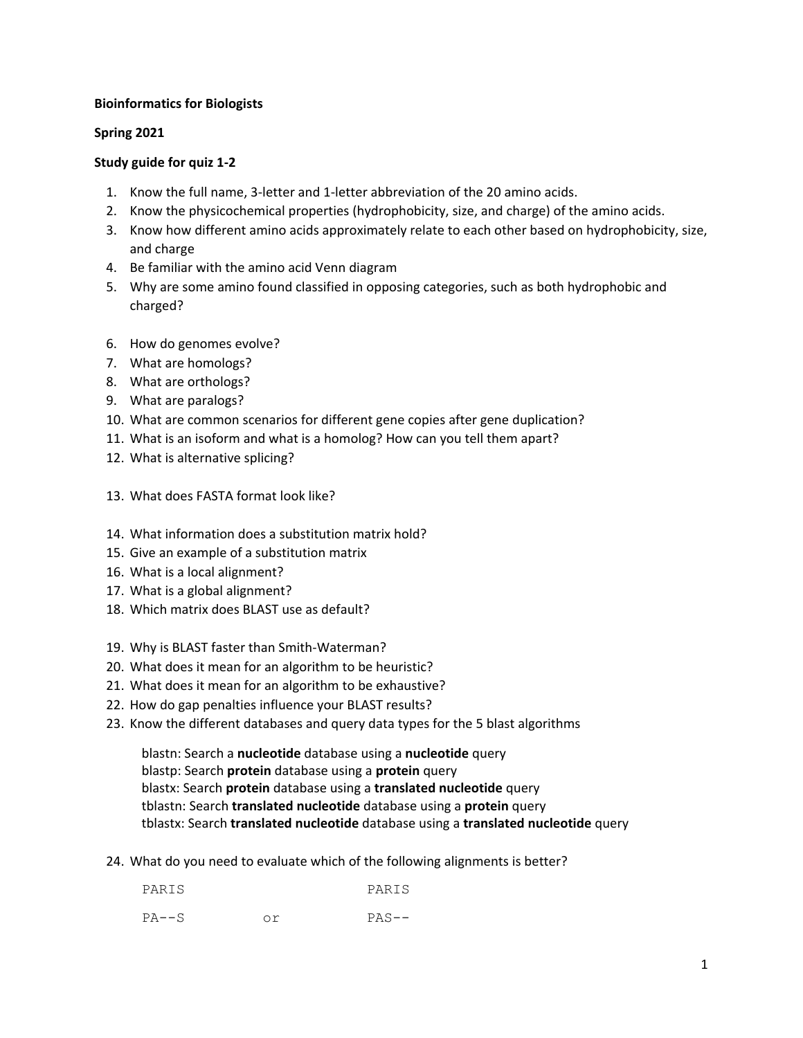## **Bioinformatics for Biologists**

## **Spring 2021**

## **Study guide for quiz 1-2**

- 1. Know the full name, 3-letter and 1-letter abbreviation of the 20 amino acids.
- 2. Know the physicochemical properties (hydrophobicity, size, and charge) of the amino acids.
- 3. Know how different amino acids approximately relate to each other based on hydrophobicity, size, and charge
- 4. Be familiar with the amino acid Venn diagram
- 5. Why are some amino found classified in opposing categories, such as both hydrophobic and charged?
- 6. How do genomes evolve?
- 7. What are homologs?
- 8. What are orthologs?
- 9. What are paralogs?
- 10. What are common scenarios for different gene copies after gene duplication?
- 11. What is an isoform and what is a homolog? How can you tell them apart?
- 12. What is alternative splicing?
- 13. What does FASTA format look like?
- 14. What information does a substitution matrix hold?
- 15. Give an example of a substitution matrix
- 16. What is a local alignment?
- 17. What is a global alignment?
- 18. Which matrix does BLAST use as default?
- 19. Why is BLAST faster than Smith-Waterman?
- 20. What does it mean for an algorithm to be heuristic?
- 21. What does it mean for an algorithm to be exhaustive?
- 22. How do gap penalties influence your BLAST results?
- 23. Know the different databases and query data types for the 5 blast algorithms

blastn: Search a **nucleotide** database using a **nucleotide** query blastp: Search **protein** database using a **protein** query blastx: Search **protein** database using a **translated nucleotide** query tblastn: Search **translated nucleotide** database using a **protein** query tblastx: Search **translated nucleotide** database using a **translated nucleotide** query

24. What do you need to evaluate which of the following alignments is better?

| PARIS | PARIS   |
|-------|---------|
| PA--S | $PAS--$ |